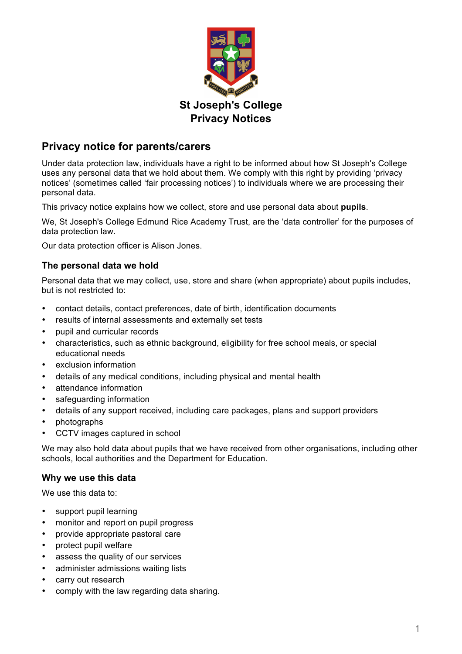

# **Privacy notice for parents/carers**

Under data protection law, individuals have a right to be informed about how St Joseph's College uses any personal data that we hold about them. We comply with this right by providing 'privacy notices' (sometimes called 'fair processing notices') to individuals where we are processing their personal data.

This privacy notice explains how we collect, store and use personal data about **pupils**.

We, St Joseph's College Edmund Rice Academy Trust, are the 'data controller' for the purposes of data protection law.

Our data protection officer is Alison Jones.

### **The personal data we hold**

Personal data that we may collect, use, store and share (when appropriate) about pupils includes, but is not restricted to:

- contact details, contact preferences, date of birth, identification documents
- results of internal assessments and externally set tests
- pupil and curricular records
- characteristics, such as ethnic background, eligibility for free school meals, or special educational needs
- exclusion information
- details of any medical conditions, including physical and mental health
- attendance information
- safeguarding information
- details of any support received, including care packages, plans and support providers
- photographs
- CCTV images captured in school

We may also hold data about pupils that we have received from other organisations, including other schools, local authorities and the Department for Education.

### **Why we use this data**

We use this data to:

- support pupil learning
- monitor and report on pupil progress
- provide appropriate pastoral care
- protect pupil welfare
- assess the quality of our services
- administer admissions waiting lists
- carry out research
- comply with the law regarding data sharing.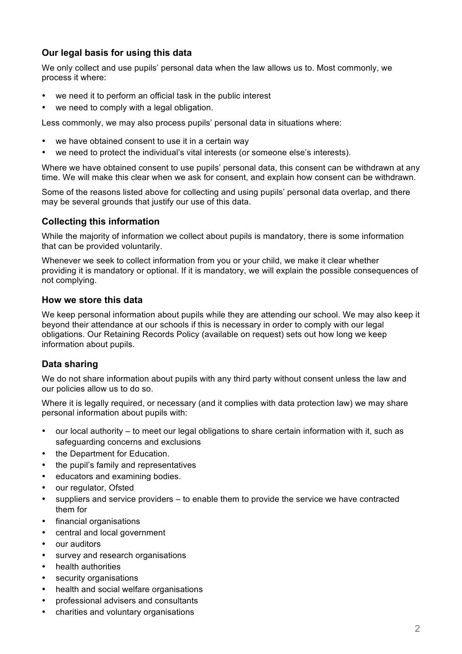# **Our legal basis for using this data**

We only collect and use pupils' personal data when the law allows us to. Most commonly, we process it where:

- we need it to perform an official task in the public interest
- we need to comply with a legal obligation.

Less commonly, we may also process pupils' personal data in situations where:

- we have obtained consent to use it in a certain way
- we need to protect the individual's vital interests (or someone else's interests).

Where we have obtained consent to use pupils' personal data, this consent can be withdrawn at any time. We will make this clear when we ask for consent, and explain how consent can be withdrawn.

Some of the reasons listed above for collecting and using pupils' personal data overlap, and there may be several grounds that justify our use of this data.

### **Collecting this information**

While the majority of information we collect about pupils is mandatory, there is some information that can be provided voluntarily.

Whenever we seek to collect information from you or your child, we make it clear whether providing it is mandatory or optional. If it is mandatory, we will explain the possible consequences of not complying.

#### **How we store this data**

We keep personal information about pupils while they are attending our school. We may also keep it beyond their attendance at our schools if this is necessary in order to comply with our legal obligations. Our Retaining Records Policy (available on request) sets out how long we keep information about pupils.

### **Data sharing**

We do not share information about pupils with any third party without consent unless the law and our policies allow us to do so.

Where it is legally required, or necessary (and it complies with data protection law) we may share personal information about pupils with:

- our local authority to meet our legal obligations to share certain information with it, such as safeguarding concerns and exclusions
- the Department for Education.
- the pupil's family and representatives
- educators and examining bodies.
- our regulator, Ofsted
- suppliers and service providers to enable them to provide the service we have contracted them for
- financial organisations
- central and local government
- our auditors
- survey and research organisations
- health authorities
- security organisations
- health and social welfare organisations
- professional advisers and consultants
- charities and voluntary organisations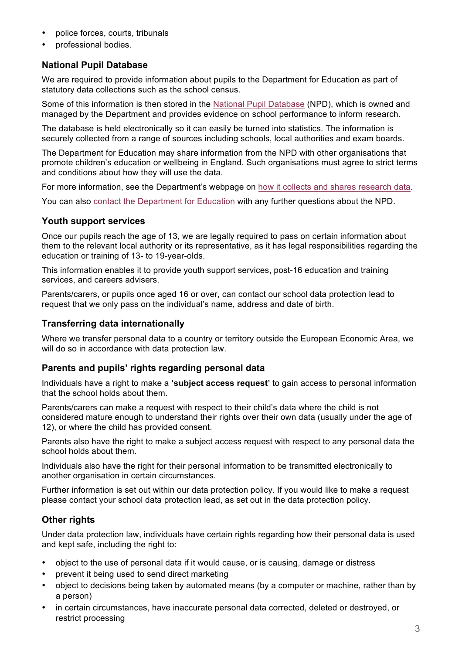- police forces, courts, tribunals
- professional bodies.

# **National Pupil Database**

We are required to provide information about pupils to the Department for Education as part of statutory data collections such as the school census.

Some of this information is then stored in the National Pupil Database (NPD), which is owned and managed by the Department and provides evidence on school performance to inform research.

The database is held electronically so it can easily be turned into statistics. The information is securely collected from a range of sources including schools, local authorities and exam boards.

The Department for Education may share information from the NPD with other organisations that promote children's education or wellbeing in England. Such organisations must agree to strict terms and conditions about how they will use the data.

For more information, see the Department's webpage on how it collects and shares research data.

You can also contact the Department for Education with any further questions about the NPD.

### **Youth support services**

Once our pupils reach the age of 13, we are legally required to pass on certain information about them to the relevant local authority or its representative, as it has legal responsibilities regarding the education or training of 13- to 19-year-olds.

This information enables it to provide youth support services, post-16 education and training services, and careers advisers.

Parents/carers, or pupils once aged 16 or over, can contact our school data protection lead to request that we only pass on the individual's name, address and date of birth.

### **Transferring data internationally**

Where we transfer personal data to a country or territory outside the European Economic Area, we will do so in accordance with data protection law.

### **Parents and pupils' rights regarding personal data**

Individuals have a right to make a **'subject access request'** to gain access to personal information that the school holds about them.

Parents/carers can make a request with respect to their child's data where the child is not considered mature enough to understand their rights over their own data (usually under the age of 12), or where the child has provided consent.

Parents also have the right to make a subject access request with respect to any personal data the school holds about them.

Individuals also have the right for their personal information to be transmitted electronically to another organisation in certain circumstances.

Further information is set out within our data protection policy. If you would like to make a request please contact your school data protection lead, as set out in the data protection policy.

# **Other rights**

Under data protection law, individuals have certain rights regarding how their personal data is used and kept safe, including the right to:

- object to the use of personal data if it would cause, or is causing, damage or distress
- prevent it being used to send direct marketing
- object to decisions being taken by automated means (by a computer or machine, rather than by a person)
- in certain circumstances, have inaccurate personal data corrected, deleted or destroyed, or restrict processing